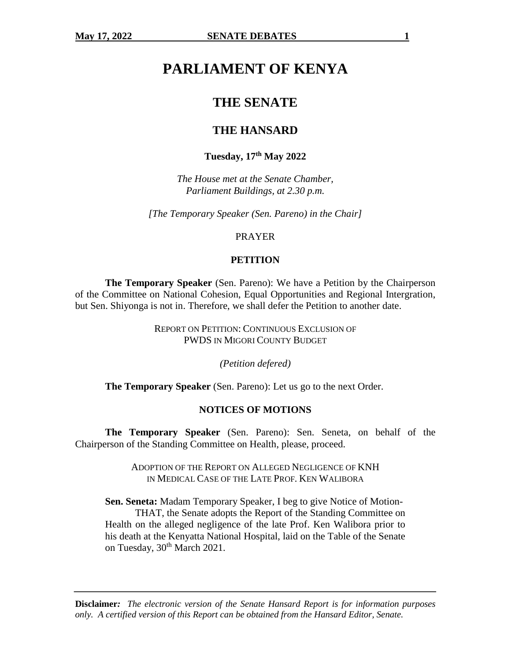# **PARLIAMENT OF KENYA**

# **THE SENATE**

# **THE HANSARD**

# **Tuesday, 17th May 2022**

*The House met at the Senate Chamber, Parliament Buildings, at 2.30 p.m.*

*[The Temporary Speaker (Sen. Pareno) in the Chair]*

#### PRAYER

#### **PETITION**

**The Temporary Speaker** (Sen. Pareno): We have a Petition by the Chairperson of the Committee on National Cohesion, Equal Opportunities and Regional Intergration, but Sen. Shiyonga is not in. Therefore, we shall defer the Petition to another date.

> REPORT ON PETITION: CONTINUOUS EXCLUSION OF PWDS IN MIGORI COUNTY BUDGET

> > *(Petition defered)*

**The Temporary Speaker** (Sen. Pareno): Let us go to the next Order.

#### **NOTICES OF MOTIONS**

**The Temporary Speaker** (Sen. Pareno): Sen. Seneta, on behalf of the Chairperson of the Standing Committee on Health, please, proceed.

> ADOPTION OF THE REPORT ON ALLEGED NEGLIGENCE OF KNH IN MEDICAL CASE OF THE LATE PROF. KEN WALIBORA

**Sen. Seneta:** Madam Temporary Speaker, I beg to give Notice of Motion-THAT, the Senate adopts the Report of the Standing Committee on Health on the alleged negligence of the late Prof. Ken Walibora prior to his death at the Kenyatta National Hospital, laid on the Table of the Senate on Tuesday, 30<sup>th</sup> March 2021.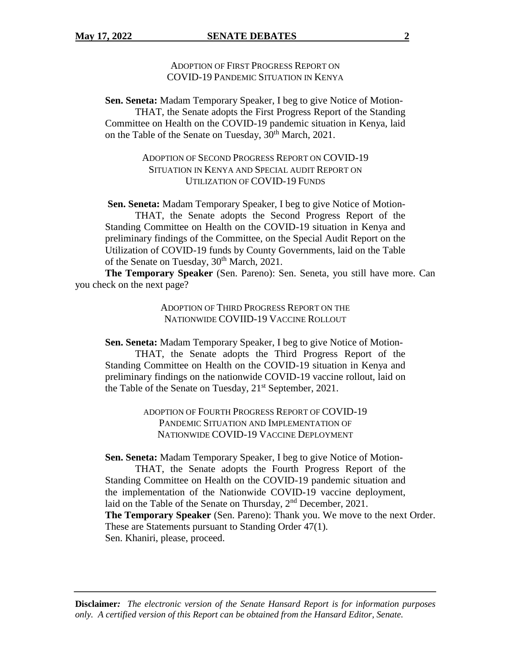ADOPTION OF FIRST PROGRESS REPORT ON COVID-19 PANDEMIC SITUATION IN KENYA

**Sen. Seneta:** Madam Temporary Speaker, I beg to give Notice of Motion-THAT, the Senate adopts the First Progress Report of the Standing Committee on Health on the COVID-19 pandemic situation in Kenya, laid on the Table of the Senate on Tuesday, 30<sup>th</sup> March, 2021.

# ADOPTION OF SECOND PROGRESS REPORT ON COVID-19 SITUATION IN KENYA AND SPECIAL AUDIT REPORT ON UTILIZATION OF COVID-19 FUNDS

**Sen. Seneta:** Madam Temporary Speaker, I beg to give Notice of Motion-THAT, the Senate adopts the Second Progress Report of the Standing Committee on Health on the COVID-19 situation in Kenya and preliminary findings of the Committee, on the Special Audit Report on the Utilization of COVID-19 funds by County Governments, laid on the Table of the Senate on Tuesday, 30<sup>th</sup> March, 2021.

**The Temporary Speaker** (Sen. Pareno): Sen. Seneta, you still have more. Can you check on the next page?

> ADOPTION OF THIRD PROGRESS REPORT ON THE NATIONWIDE COVIID-19 VACCINE ROLLOUT

**Sen. Seneta:** Madam Temporary Speaker, I beg to give Notice of Motion-

THAT, the Senate adopts the Third Progress Report of the Standing Committee on Health on the COVID-19 situation in Kenya and preliminary findings on the nationwide COVID-19 vaccine rollout, laid on the Table of the Senate on Tuesday,  $21<sup>st</sup>$  September, 2021.

> ADOPTION OF FOURTH PROGRESS REPORT OF COVID-19 PANDEMIC SITUATION AND IMPLEMENTATION OF NATIONWIDE COVID-19 VACCINE DEPLOYMENT

**Sen. Seneta:** Madam Temporary Speaker, I beg to give Notice of Motion-

THAT, the Senate adopts the Fourth Progress Report of the Standing Committee on Health on the COVID-19 pandemic situation and the implementation of the Nationwide COVID-19 vaccine deployment, laid on the Table of the Senate on Thursday,  $2<sup>nd</sup>$  December, 2021. **The Temporary Speaker** (Sen. Pareno): Thank you. We move to the next Order. These are Statements pursuant to Standing Order 47(1). Sen. Khaniri, please, proceed.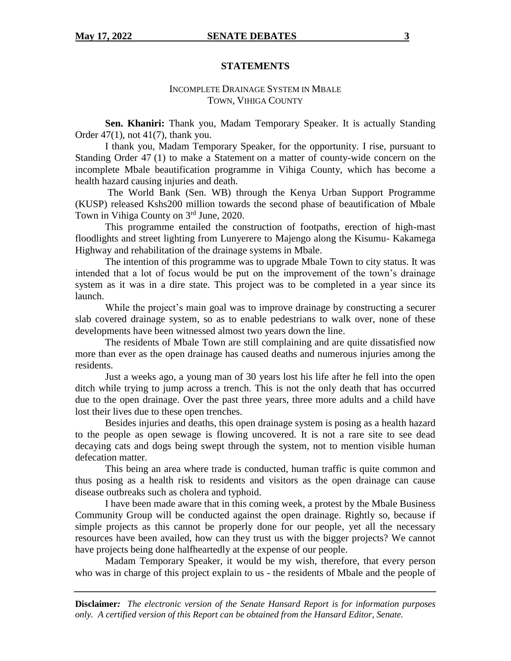#### **STATEMENTS**

# INCOMPLETE DRAINAGE SYSTEM IN MBALE TOWN, VIHIGA COUNTY

**Sen. Khaniri:** Thank you, Madam Temporary Speaker. It is actually Standing Order  $47(1)$ , not  $41(7)$ , thank you.

I thank you, Madam Temporary Speaker, for the opportunity. I rise, pursuant to Standing Order 47 (1) to make a Statement on a matter of county-wide concern on the incomplete Mbale beautification programme in Vihiga County, which has become a health hazard causing injuries and death.

The World Bank (Sen. WB) through the Kenya Urban Support Programme (KUSP) released Kshs200 million towards the second phase of beautification of Mbale Town in Vihiga County on 3<sup>rd</sup> June, 2020.

This programme entailed the construction of footpaths, erection of high-mast floodlights and street lighting from Lunyerere to Majengo along the Kisumu- Kakamega Highway and rehabilitation of the drainage systems in Mbale.

The intention of this programme was to upgrade Mbale Town to city status. It was intended that a lot of focus would be put on the improvement of the town's drainage system as it was in a dire state. This project was to be completed in a year since its launch.

While the project's main goal was to improve drainage by constructing a securer slab covered drainage system, so as to enable pedestrians to walk over, none of these developments have been witnessed almost two years down the line.

The residents of Mbale Town are still complaining and are quite dissatisfied now more than ever as the open drainage has caused deaths and numerous injuries among the residents.

Just a weeks ago, a young man of 30 years lost his life after he fell into the open ditch while trying to jump across a trench. This is not the only death that has occurred due to the open drainage. Over the past three years, three more adults and a child have lost their lives due to these open trenches.

Besides injuries and deaths, this open drainage system is posing as a health hazard to the people as open sewage is flowing uncovered. It is not a rare site to see dead decaying cats and dogs being swept through the system, not to mention visible human defecation matter.

This being an area where trade is conducted, human traffic is quite common and thus posing as a health risk to residents and visitors as the open drainage can cause disease outbreaks such as cholera and typhoid.

I have been made aware that in this coming week, a protest by the Mbale Business Community Group will be conducted against the open drainage. Rightly so, because if simple projects as this cannot be properly done for our people, yet all the necessary resources have been availed, how can they trust us with the bigger projects? We cannot have projects being done halfheartedly at the expense of our people.

Madam Temporary Speaker, it would be my wish, therefore, that every person who was in charge of this project explain to us - the residents of Mbale and the people of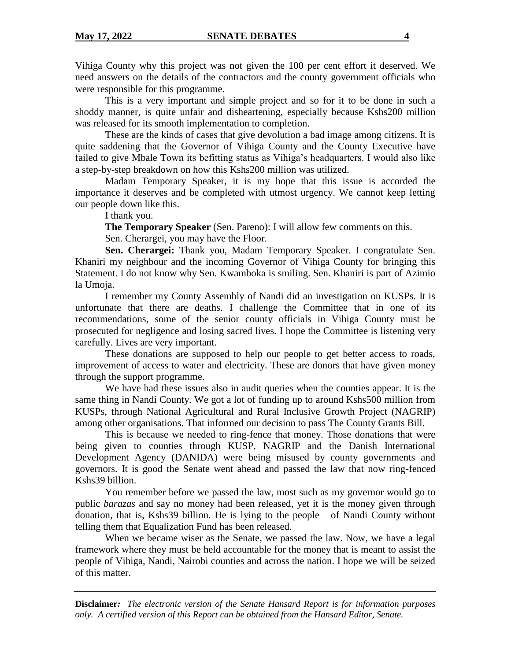Vihiga County why this project was not given the 100 per cent effort it deserved. We need answers on the details of the contractors and the county government officials who were responsible for this programme.

This is a very important and simple project and so for it to be done in such a shoddy manner, is quite unfair and disheartening, especially because Kshs200 million was released for its smooth implementation to completion.

These are the kinds of cases that give devolution a bad image among citizens. It is quite saddening that the Governor of Vihiga County and the County Executive have failed to give Mbale Town its befitting status as Vihiga's headquarters. I would also like a step-by-step breakdown on how this Kshs200 million was utilized.

Madam Temporary Speaker, it is my hope that this issue is accorded the importance it deserves and be completed with utmost urgency. We cannot keep letting our people down like this.

I thank you.

**The Temporary Speaker** (Sen. Pareno): I will allow few comments on this.

Sen. Cherargei, you may have the Floor.

**Sen. Cherargei:** Thank you, Madam Temporary Speaker. I congratulate Sen. Khaniri my neighbour and the incoming Governor of Vihiga County for bringing this Statement. I do not know why Sen. Kwamboka is smiling. Sen. Khaniri is part of Azimio la Umoja.

I remember my County Assembly of Nandi did an investigation on KUSPs. It is unfortunate that there are deaths. I challenge the Committee that in one of its recommendations, some of the senior county officials in Vihiga County must be prosecuted for negligence and losing sacred lives. I hope the Committee is listening very carefully. Lives are very important.

These donations are supposed to help our people to get better access to roads, improvement of access to water and electricity. These are donors that have given money through the support programme.

We have had these issues also in audit queries when the counties appear. It is the same thing in Nandi County. We got a lot of funding up to around Kshs500 million from KUSPs, through National Agricultural and Rural Inclusive Growth Project (NAGRIP) among other organisations. That informed our decision to pass The County Grants Bill.

This is because we needed to ring-fence that money. Those donations that were being given to counties through KUSP, NAGRIP and the Danish International Development Agency (DANIDA) were being misused by county governments and governors. It is good the Senate went ahead and passed the law that now ring-fenced Kshs39 billion.

You remember before we passed the law, most such as my governor would go to public *barazas* and say no money had been released, yet it is the money given through donation, that is, Kshs39 billion. He is lying to the people of Nandi County without telling them that Equalization Fund has been released.

When we became wiser as the Senate, we passed the law. Now, we have a legal framework where they must be held accountable for the money that is meant to assist the people of Vihiga, Nandi, Nairobi counties and across the nation. I hope we will be seized of this matter.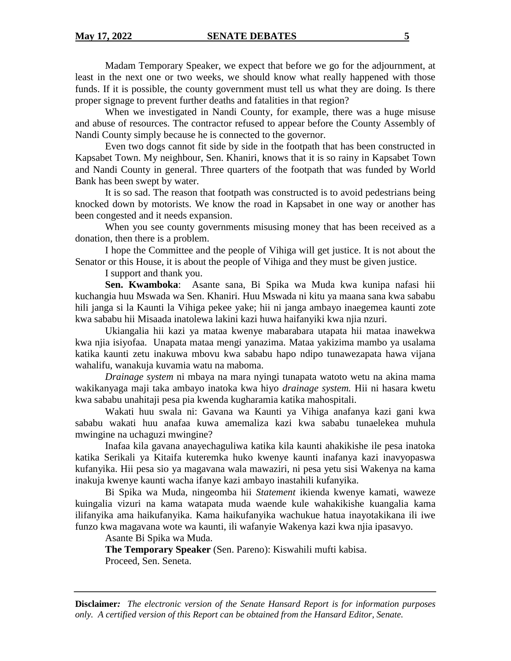Madam Temporary Speaker, we expect that before we go for the adjournment, at least in the next one or two weeks, we should know what really happened with those funds. If it is possible, the county government must tell us what they are doing. Is there proper signage to prevent further deaths and fatalities in that region?

When we investigated in Nandi County, for example, there was a huge misuse and abuse of resources. The contractor refused to appear before the County Assembly of Nandi County simply because he is connected to the governor.

Even two dogs cannot fit side by side in the footpath that has been constructed in Kapsabet Town. My neighbour, Sen. Khaniri, knows that it is so rainy in Kapsabet Town and Nandi County in general. Three quarters of the footpath that was funded by World Bank has been swept by water.

It is so sad. The reason that footpath was constructed is to avoid pedestrians being knocked down by motorists. We know the road in Kapsabet in one way or another has been congested and it needs expansion.

When you see county governments misusing money that has been received as a donation, then there is a problem.

I hope the Committee and the people of Vihiga will get justice. It is not about the Senator or this House, it is about the people of Vihiga and they must be given justice.

I support and thank you.

**Sen. Kwamboka**: Asante sana, Bi Spika wa Muda kwa kunipa nafasi hii kuchangia huu Mswada wa Sen. Khaniri. Huu Mswada ni kitu ya maana sana kwa sababu hili janga si la Kaunti la Vihiga pekee yake; hii ni janga ambayo inaegemea kaunti zote kwa sababu hii Misaada inatolewa lakini kazi huwa haifanyiki kwa njia nzuri.

Ukiangalia hii kazi ya mataa kwenye mabarabara utapata hii mataa inawekwa kwa njia isiyofaa. Unapata mataa mengi yanazima. Mataa yakizima mambo ya usalama katika kaunti zetu inakuwa mbovu kwa sababu hapo ndipo tunawezapata hawa vijana wahalifu, wanakuja kuvamia watu na maboma.

*Drainage system* ni mbaya na mara nyingi tunapata watoto wetu na akina mama wakikanyaga maji taka ambayo inatoka kwa hiyo *drainage system.* Hii ni hasara kwetu kwa sababu unahitaji pesa pia kwenda kugharamia katika mahospitali.

Wakati huu swala ni: Gavana wa Kaunti ya Vihiga anafanya kazi gani kwa sababu wakati huu anafaa kuwa amemaliza kazi kwa sababu tunaelekea muhula mwingine na uchaguzi mwingine?

Inafaa kila gavana anayechaguliwa katika kila kaunti ahakikishe ile pesa inatoka katika Serikali ya Kitaifa kuteremka huko kwenye kaunti inafanya kazi inavyopaswa kufanyika. Hii pesa sio ya magavana wala mawaziri, ni pesa yetu sisi Wakenya na kama inakuja kwenye kaunti wacha ifanye kazi ambayo inastahili kufanyika.

Bi Spika wa Muda, ningeomba hii *Statement* ikienda kwenye kamati, waweze kuingalia vizuri na kama watapata muda waende kule wahakikishe kuangalia kama ilifanyika ama haikufanyika. Kama haikufanyika wachukue hatua inayotakikana ili iwe funzo kwa magavana wote wa kaunti, ili wafanyie Wakenya kazi kwa njia ipasavyo.

Asante Bi Spika wa Muda.

**The Temporary Speaker** (Sen. Pareno): Kiswahili mufti kabisa.

Proceed, Sen. Seneta.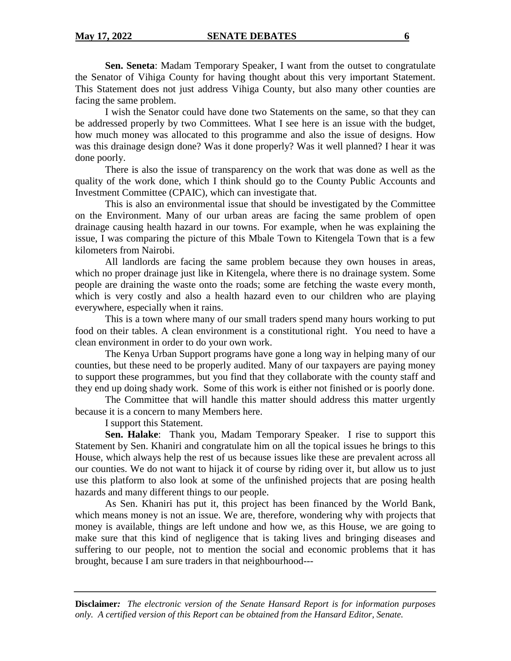**Sen. Seneta**: Madam Temporary Speaker, I want from the outset to congratulate the Senator of Vihiga County for having thought about this very important Statement. This Statement does not just address Vihiga County, but also many other counties are facing the same problem.

I wish the Senator could have done two Statements on the same, so that they can be addressed properly by two Committees. What I see here is an issue with the budget, how much money was allocated to this programme and also the issue of designs. How was this drainage design done? Was it done properly? Was it well planned? I hear it was done poorly.

There is also the issue of transparency on the work that was done as well as the quality of the work done, which I think should go to the County Public Accounts and Investment Committee (CPAIC), which can investigate that.

This is also an environmental issue that should be investigated by the Committee on the Environment. Many of our urban areas are facing the same problem of open drainage causing health hazard in our towns. For example, when he was explaining the issue, I was comparing the picture of this Mbale Town to Kitengela Town that is a few kilometers from Nairobi.

All landlords are facing the same problem because they own houses in areas, which no proper drainage just like in Kitengela, where there is no drainage system. Some people are draining the waste onto the roads; some are fetching the waste every month, which is very costly and also a health hazard even to our children who are playing everywhere, especially when it rains.

This is a town where many of our small traders spend many hours working to put food on their tables. A clean environment is a constitutional right. You need to have a clean environment in order to do your own work.

The Kenya Urban Support programs have gone a long way in helping many of our counties, but these need to be properly audited. Many of our taxpayers are paying money to support these programmes, but you find that they collaborate with the county staff and they end up doing shady work. Some of this work is either not finished or is poorly done.

The Committee that will handle this matter should address this matter urgently because it is a concern to many Members here.

I support this Statement.

**Sen. Halake**: Thank you, Madam Temporary Speaker. I rise to support this Statement by Sen. Khaniri and congratulate him on all the topical issues he brings to this House, which always help the rest of us because issues like these are prevalent across all our counties. We do not want to hijack it of course by riding over it, but allow us to just use this platform to also look at some of the unfinished projects that are posing health hazards and many different things to our people.

As Sen. Khaniri has put it, this project has been financed by the World Bank, which means money is not an issue. We are, therefore, wondering why with projects that money is available, things are left undone and how we, as this House, we are going to make sure that this kind of negligence that is taking lives and bringing diseases and suffering to our people, not to mention the social and economic problems that it has brought, because I am sure traders in that neighbourhood---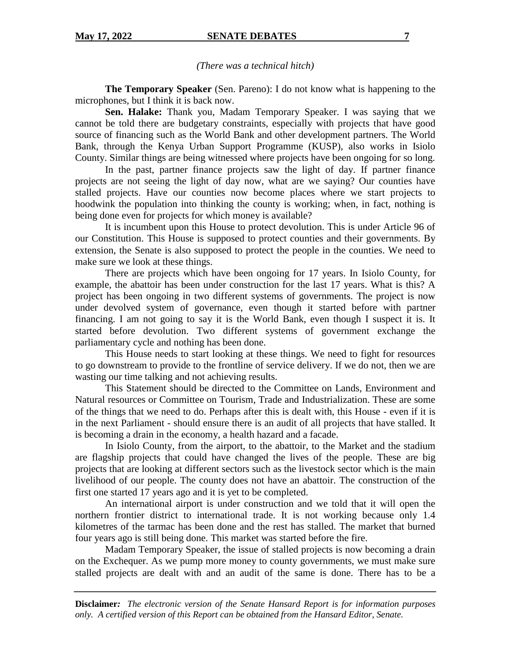*(There was a technical hitch)*

**The Temporary Speaker** (Sen. Pareno): I do not know what is happening to the microphones, but I think it is back now.

**Sen. Halake:** Thank you, Madam Temporary Speaker. I was saying that we cannot be told there are budgetary constraints, especially with projects that have good source of financing such as the World Bank and other development partners. The World Bank, through the Kenya Urban Support Programme (KUSP), also works in Isiolo County. Similar things are being witnessed where projects have been ongoing for so long.

In the past, partner finance projects saw the light of day. If partner finance projects are not seeing the light of day now, what are we saying? Our counties have stalled projects. Have our counties now become places where we start projects to hoodwink the population into thinking the county is working; when, in fact, nothing is being done even for projects for which money is available?

It is incumbent upon this House to protect devolution. This is under Article 96 of our Constitution. This House is supposed to protect counties and their governments. By extension, the Senate is also supposed to protect the people in the counties. We need to make sure we look at these things.

There are projects which have been ongoing for 17 years. In Isiolo County, for example, the abattoir has been under construction for the last 17 years. What is this? A project has been ongoing in two different systems of governments. The project is now under devolved system of governance, even though it started before with partner financing. I am not going to say it is the World Bank, even though I suspect it is. It started before devolution. Two different systems of government exchange the parliamentary cycle and nothing has been done.

This House needs to start looking at these things. We need to fight for resources to go downstream to provide to the frontline of service delivery. If we do not, then we are wasting our time talking and not achieving results.

This Statement should be directed to the Committee on Lands, Environment and Natural resources or Committee on Tourism, Trade and Industrialization. These are some of the things that we need to do. Perhaps after this is dealt with, this House - even if it is in the next Parliament - should ensure there is an audit of all projects that have stalled. It is becoming a drain in the economy, a health hazard and a facade.

In Isiolo County, from the airport, to the abattoir, to the Market and the stadium are flagship projects that could have changed the lives of the people. These are big projects that are looking at different sectors such as the livestock sector which is the main livelihood of our people. The county does not have an abattoir. The construction of the first one started 17 years ago and it is yet to be completed.

An international airport is under construction and we told that it will open the northern frontier district to international trade. It is not working because only 1.4 kilometres of the tarmac has been done and the rest has stalled. The market that burned four years ago is still being done. This market was started before the fire.

Madam Temporary Speaker, the issue of stalled projects is now becoming a drain on the Exchequer. As we pump more money to county governments, we must make sure stalled projects are dealt with and an audit of the same is done. There has to be a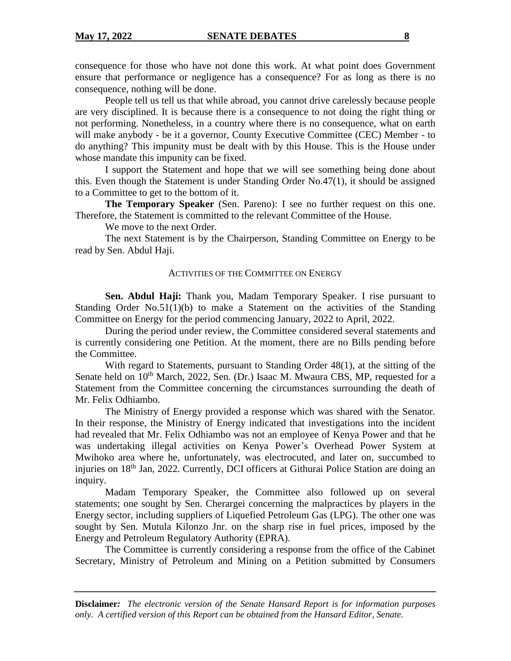consequence for those who have not done this work. At what point does Government ensure that performance or negligence has a consequence? For as long as there is no consequence, nothing will be done.

People tell us tell us that while abroad, you cannot drive carelessly because people are very disciplined. It is because there is a consequence to not doing the right thing or not performing. Nonetheless, in a country where there is no consequence, what on earth will make anybody - be it a governor, County Executive Committee (CEC) Member - to do anything? This impunity must be dealt with by this House. This is the House under whose mandate this impunity can be fixed.

I support the Statement and hope that we will see something being done about this. Even though the Statement is under Standing Order No.47(1), it should be assigned to a Committee to get to the bottom of it.

**The Temporary Speaker** (Sen. Pareno): I see no further request on this one. Therefore, the Statement is committed to the relevant Committee of the House.

We move to the next Order.

The next Statement is by the Chairperson, Standing Committee on Energy to be read by Sen. Abdul Haji.

#### ACTIVITIES OF THE COMMITTEE ON ENERGY

**Sen. Abdul Haji:** Thank you, Madam Temporary Speaker. I rise pursuant to Standing Order No.51(1)(b) to make a Statement on the activities of the Standing Committee on Energy for the period commencing January, 2022 to April, 2022.

During the period under review, the Committee considered several statements and is currently considering one Petition. At the moment, there are no Bills pending before the Committee.

With regard to Statements, pursuant to Standing Order 48(1), at the sitting of the Senate held on  $10^{th}$  March, 2022, Sen. (Dr.) Isaac M. Mwaura CBS, MP, requested for a Statement from the Committee concerning the circumstances surrounding the death of Mr. Felix Odhiambo.

The Ministry of Energy provided a response which was shared with the Senator. In their response, the Ministry of Energy indicated that investigations into the incident had revealed that Mr. Felix Odhiambo was not an employee of Kenya Power and that he was undertaking illegal activities on Kenya Power's Overhead Power System at Mwihoko area where he, unfortunately, was electrocuted, and later on, succumbed to injuries on 18th Jan, 2022. Currently, DCI officers at Githurai Police Station are doing an inquiry.

Madam Temporary Speaker, the Committee also followed up on several statements; one sought by Sen. Cherargei concerning the malpractices by players in the Energy sector, including suppliers of Liquefied Petroleum Gas (LPG). The other one was sought by Sen. Mutula Kilonzo Jnr. on the sharp rise in fuel prices, imposed by the Energy and Petroleum Regulatory Authority (EPRA).

The Committee is currently considering a response from the office of the Cabinet Secretary, Ministry of Petroleum and Mining on a Petition submitted by Consumers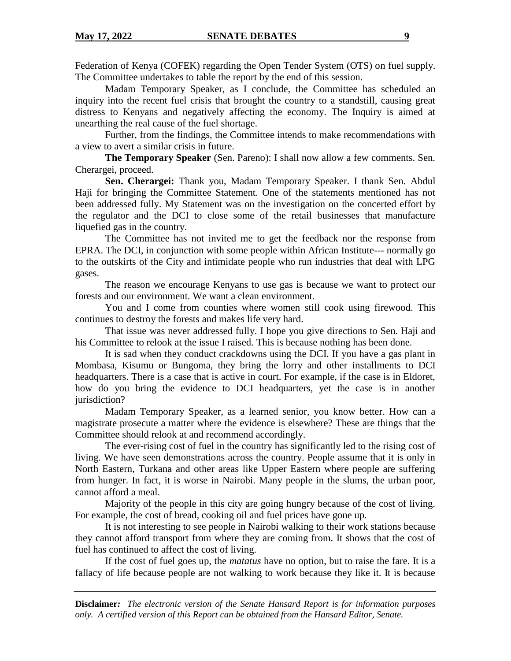Federation of Kenya (COFEK) regarding the Open Tender System (OTS) on fuel supply. The Committee undertakes to table the report by the end of this session.

Madam Temporary Speaker, as I conclude, the Committee has scheduled an inquiry into the recent fuel crisis that brought the country to a standstill, causing great distress to Kenyans and negatively affecting the economy. The Inquiry is aimed at unearthing the real cause of the fuel shortage.

Further, from the findings, the Committee intends to make recommendations with a view to avert a similar crisis in future.

**The Temporary Speaker** (Sen. Pareno): I shall now allow a few comments. Sen. Cherargei, proceed.

**Sen. Cherargei:** Thank you, Madam Temporary Speaker. I thank Sen. Abdul Haji for bringing the Committee Statement. One of the statements mentioned has not been addressed fully. My Statement was on the investigation on the concerted effort by the regulator and the DCI to close some of the retail businesses that manufacture liquefied gas in the country.

The Committee has not invited me to get the feedback nor the response from EPRA. The DCI, in conjunction with some people within African Institute--- normally go to the outskirts of the City and intimidate people who run industries that deal with LPG gases.

The reason we encourage Kenyans to use gas is because we want to protect our forests and our environment. We want a clean environment.

You and I come from counties where women still cook using firewood. This continues to destroy the forests and makes life very hard.

That issue was never addressed fully. I hope you give directions to Sen. Haji and his Committee to relook at the issue I raised. This is because nothing has been done.

It is sad when they conduct crackdowns using the DCI. If you have a gas plant in Mombasa, Kisumu or Bungoma, they bring the lorry and other installments to DCI headquarters. There is a case that is active in court. For example, if the case is in Eldoret, how do you bring the evidence to DCI headquarters, yet the case is in another jurisdiction?

Madam Temporary Speaker, as a learned senior, you know better. How can a magistrate prosecute a matter where the evidence is elsewhere? These are things that the Committee should relook at and recommend accordingly.

The ever-rising cost of fuel in the country has significantly led to the rising cost of living. We have seen demonstrations across the country. People assume that it is only in North Eastern, Turkana and other areas like Upper Eastern where people are suffering from hunger. In fact, it is worse in Nairobi. Many people in the slums, the urban poor, cannot afford a meal.

Majority of the people in this city are going hungry because of the cost of living. For example, the cost of bread, cooking oil and fuel prices have gone up.

It is not interesting to see people in Nairobi walking to their work stations because they cannot afford transport from where they are coming from. It shows that the cost of fuel has continued to affect the cost of living.

If the cost of fuel goes up, the *matatus* have no option, but to raise the fare. It is a fallacy of life because people are not walking to work because they like it. It is because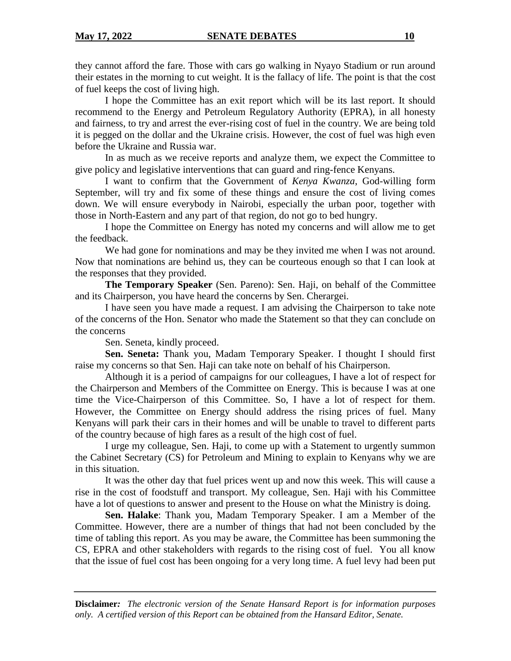they cannot afford the fare. Those with cars go walking in Nyayo Stadium or run around their estates in the morning to cut weight. It is the fallacy of life. The point is that the cost of fuel keeps the cost of living high.

I hope the Committee has an exit report which will be its last report. It should recommend to the Energy and Petroleum Regulatory Authority (EPRA), in all honesty and fairness, to try and arrest the ever-rising cost of fuel in the country. We are being told it is pegged on the dollar and the Ukraine crisis. However, the cost of fuel was high even before the Ukraine and Russia war.

In as much as we receive reports and analyze them, we expect the Committee to give policy and legislative interventions that can guard and ring-fence Kenyans.

I want to confirm that the Government of *Kenya Kwanza*, God-willing form September, will try and fix some of these things and ensure the cost of living comes down. We will ensure everybody in Nairobi, especially the urban poor, together with those in North-Eastern and any part of that region, do not go to bed hungry.

I hope the Committee on Energy has noted my concerns and will allow me to get the feedback.

We had gone for nominations and may be they invited me when I was not around. Now that nominations are behind us, they can be courteous enough so that I can look at the responses that they provided.

**The Temporary Speaker** (Sen. Pareno): Sen. Haji, on behalf of the Committee and its Chairperson, you have heard the concerns by Sen. Cherargei.

I have seen you have made a request. I am advising the Chairperson to take note of the concerns of the Hon. Senator who made the Statement so that they can conclude on the concerns

Sen. Seneta, kindly proceed.

**Sen. Seneta:** Thank you, Madam Temporary Speaker. I thought I should first raise my concerns so that Sen. Haji can take note on behalf of his Chairperson.

Although it is a period of campaigns for our colleagues, I have a lot of respect for the Chairperson and Members of the Committee on Energy. This is because I was at one time the Vice-Chairperson of this Committee. So, I have a lot of respect for them. However, the Committee on Energy should address the rising prices of fuel. Many Kenyans will park their cars in their homes and will be unable to travel to different parts of the country because of high fares as a result of the high cost of fuel.

I urge my colleague, Sen. Haji, to come up with a Statement to urgently summon the Cabinet Secretary (CS) for Petroleum and Mining to explain to Kenyans why we are in this situation.

It was the other day that fuel prices went up and now this week. This will cause a rise in the cost of foodstuff and transport. My colleague, Sen. Haji with his Committee have a lot of questions to answer and present to the House on what the Ministry is doing.

**Sen. Halake**: Thank you, Madam Temporary Speaker. I am a Member of the Committee. However, there are a number of things that had not been concluded by the time of tabling this report. As you may be aware, the Committee has been summoning the CS, EPRA and other stakeholders with regards to the rising cost of fuel. You all know that the issue of fuel cost has been ongoing for a very long time. A fuel levy had been put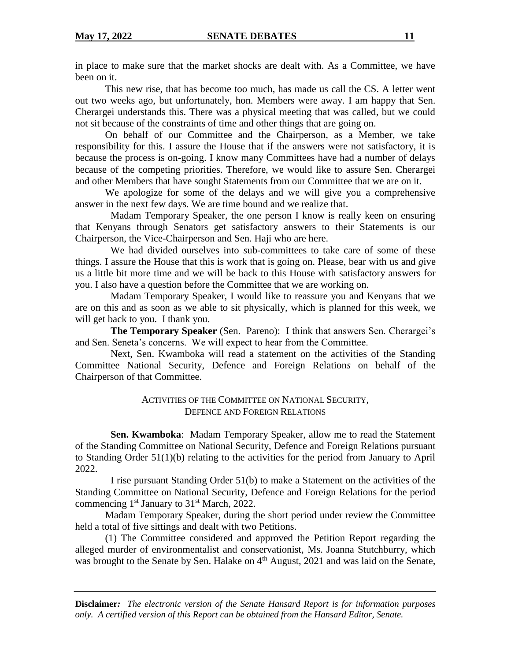in place to make sure that the market shocks are dealt with. As a Committee, we have been on it.

This new rise, that has become too much, has made us call the CS. A letter went out two weeks ago, but unfortunately, hon. Members were away. I am happy that Sen. Cherargei understands this. There was a physical meeting that was called, but we could not sit because of the constraints of time and other things that are going on.

On behalf of our Committee and the Chairperson, as a Member, we take responsibility for this. I assure the House that if the answers were not satisfactory, it is because the process is on-going. I know many Committees have had a number of delays because of the competing priorities. Therefore, we would like to assure Sen. Cherargei and other Members that have sought Statements from our Committee that we are on it.

We apologize for some of the delays and we will give you a comprehensive answer in the next few days. We are time bound and we realize that.

Madam Temporary Speaker, the one person I know is really keen on ensuring that Kenyans through Senators get satisfactory answers to their Statements is our Chairperson, the Vice-Chairperson and Sen. Haji who are here.

We had divided ourselves into *s*ub-committees to take care of some of these things. I assure the House that this is work that is going on. Please*,* bear with us and *g*ive us a little bit more time and we will be back to this House with satisfactory answers for you. I also have a question before the Committee that we are working on.

Madam Temporary Speaker, I would like to reassure you and Kenyans that we are on this and as soon as we able to sit physically, which is planned for this week*,* we will get back to you. I thank you.

**The Temporary Speaker** (Sen. Pareno): I think that answers Sen. Cherargei's and Sen. Seneta's concerns. We will expect to hear from the Committee.

Next, Sen. Kwamboka will read a statement on the activities of the Standing Committee National Security, Defence and Foreign Relation*s* on behalf of the Chairperson of that Committee.

# ACTIVITIES OF THE COMMITTEE ON NATIONAL SECURITY, DEFENCE AND FOREIGN RELATIONS

**Sen. Kwamboka**: Madam Temporary Speaker, allow me to read the Statement of the Standing Committee on National Security, Defence and Foreign Relations pursuant to Standing Order 51(1)(b) relating to the activities for the period from January to April 2022.

I rise pursuant Standing Order 51(b) to make a Statement on the activities of the Standing Committee on National Security, Defence and Foreign Relations for the period commencing  $1<sup>st</sup>$  January to  $31<sup>st</sup>$  March, 2022.

Madam Temporary Speaker, during the short period under review the Committee held a total of five sittings and dealt with two Petitions.

(1) The Committee considered and approved the Petition Report regarding the alleged murder of environmentalist and conservationist, Ms. Joanna Stutchburry, which was brought to the Senate by Sen. Halake on  $4<sup>th</sup>$  August, 2021 and was laid on the Senate,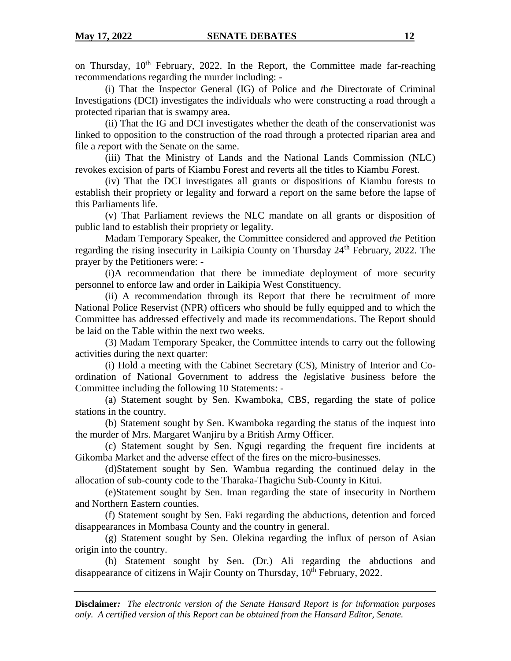on Thursday, 10th February, 2022. In the Report*,* the Committee made far*-*reaching recommendations regarding the murder including: -

(i) That the Inspector General (IG) of Police and *t*he Directorate of Criminal Investigations (DCI) investigates the individual*s* who were constructing a road through a protected riparian that is swampy area.

(ii) That the IG and DCI investigates whether the death of the conservationist was linked to opposition to the construction of the road through a protected riparian area and file a *r*eport with the Senate on the same.

(iii) That the Ministry of Lands and the National Lands Commission (NLC) revokes excision of parts of Kiambu Forest and reverts all the titles to Kiambu *F*orest.

(iv) That the DCI investigates all grants or dispositions of Kiambu forests to establish their propriety or legality and forward a *r*eport on the same before the lapse of this Parliaments life.

(v) That Parliament reviews the NLC mandate on all grants or disposition of public land to establish their propriety or legality.

Madam Temporary Speaker, the Committee considered and approved *the* Petition regarding the rising insecurity in Laikipia County on Thursday 24<sup>th</sup> February, 2022. The prayer by the Petitioners were: -

(i)A recommendation that there be immediate deployment of more security personnel to enforce law and order in Laikipia West Constituency.

(ii) A recommendation through its Report that there be recruitment of more National Police Reservist (NPR) officers who should be fully equipped and to which the Committee has addressed effectively and made its recommendations. The Report should be laid on the Table within the next two weeks.

(3) Madam Temporary Speaker, the Committee intends to carry out the following activities during the next quarter:

(i) Hold a meeting with the Cabinet Secretary (CS)*,* Ministry of Interior and Coordination of National Government to address the *l*egislative *b*usiness before the Committee including the following 10 Statements: -

(a) Statement sought by Sen. Kwamboka, CBS, regarding the state of police stations in the country.

(b) Statement sought by Sen. Kwamboka regarding the status of the inquest into the murder of Mrs. Margaret Wanjiru by a British Army Officer.

(c) Statement sought by Sen. Ngugi regarding the frequent fire incidents at Gikomba Market and the adverse effect of the fires on the micro-businesses.

(d)Statement sought by Sen. Wambua regarding the continued delay in the allocation of sub-county code to the Tharaka-Thagichu Sub-County in Kitui.

(e)Statement sought by Sen. Iman regarding the state of insecurity in Northern and Northern Eastern *c*ounties.

(f) Statement sought by Sen. Faki regarding the abductions, detention and forced disappearance*s* in Mombasa County and the country in general.

(g) Statement sought by Sen. Olekina regarding the influx of person of Asian origin into the country.

(h) Statement sought by Sen. (Dr.) Ali regarding the abductions and disappearance of citizens in Wajir County on Thursday*,* 10th February, 2022.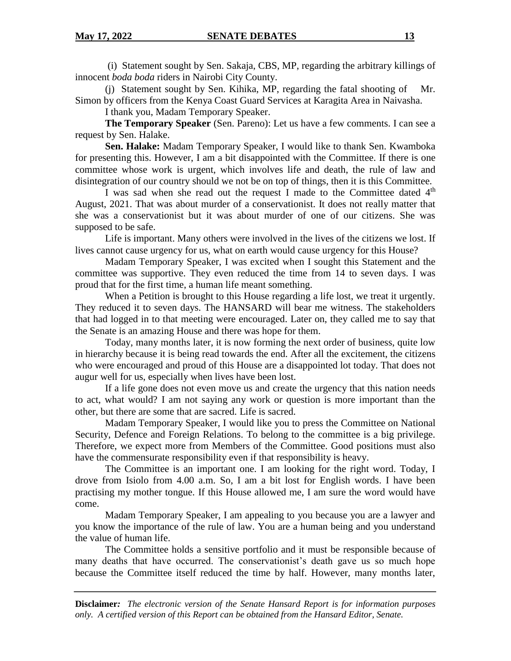(i) Statement sought by Sen. Sakaja, CBS, MP, regarding the arbitrary killings of innocent *boda boda* riders in Nairobi City County.

(j) Statement sought by Sen. Kihika, MP, regarding the fatal shooting of Mr. Simon by officers from the Kenya Coast Guard Services at Karagita Area in Naivasha.

I thank you, Madam Temporary Speaker.

**The Temporary Speaker** (Sen. Pareno): Let us have a few comments. I can see a request by Sen. Halake.

**Sen. Halake:** Madam Temporary Speaker, I would like to thank Sen. Kwamboka for presenting this. However, I am a bit disappointed with the Committee. If there is one committee whose work is urgent, which involves life and death, the rule of law and disintegration of our country should we not be on top of things, then it is this Committee.

I was sad when she read out the request I made to the Committee dated  $4<sup>th</sup>$ August, 2021. That was about murder of a conservationist. It does not really matter that she was a conservationist but it was about murder of one of our citizens. She was supposed to be safe.

Life is important. Many others were involved in the lives of the citizens we lost. If lives cannot cause urgency for us, what on earth would cause urgency for this House?

Madam Temporary Speaker, I was excited when I sought this Statement and the committee was supportive. They even reduced the time from 14 to seven days. I was proud that for the first time, a human life meant something.

When a Petition is brought to this House regarding a life lost, we treat it urgently. They reduced it to seven days. The HANSARD will bear me witness. The stakeholders that had logged in to that meeting were encouraged. Later on, they called me to say that the Senate is an amazing House and there was hope for them.

Today, many months later, it is now forming the next order of business, quite low in hierarchy because it is being read towards the end. After all the excitement, the citizens who were encouraged and proud of this House are a disappointed lot today. That does not augur well for us, especially when lives have been lost.

If a life gone does not even move us and create the urgency that this nation needs to act, what would? I am not saying any work or question is more important than the other, but there are some that are sacred. Life is sacred.

Madam Temporary Speaker, I would like you to press the Committee on National Security, Defence and Foreign Relations. To belong to the committee is a big privilege. Therefore, we expect more from Members of the Committee. Good positions must also have the commensurate responsibility even if that responsibility is heavy.

The Committee is an important one. I am looking for the right word. Today, I drove from Isiolo from 4.00 a.m. So, I am a bit lost for English words. I have been practising my mother tongue. If this House allowed me, I am sure the word would have come.

Madam Temporary Speaker, I am appealing to you because you are a lawyer and you know the importance of the rule of law. You are a human being and you understand the value of human life.

The Committee holds a sensitive portfolio and it must be responsible because of many deaths that have occurred. The conservationist's death gave us so much hope because the Committee itself reduced the time by half. However, many months later,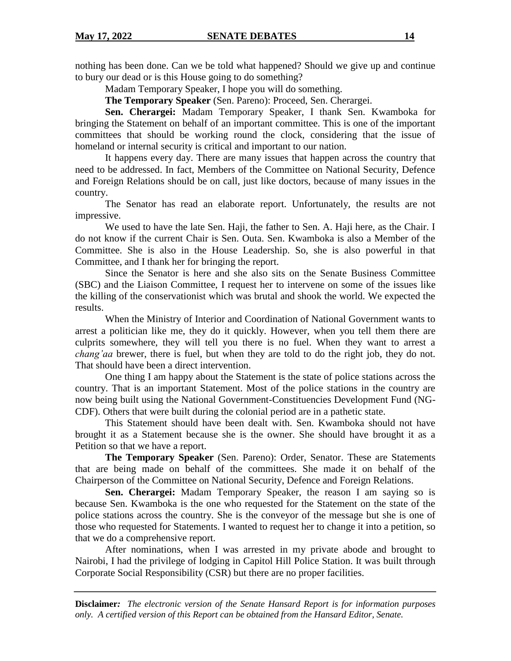nothing has been done. Can we be told what happened? Should we give up and continue to bury our dead or is this House going to do something?

Madam Temporary Speaker, I hope you will do something.

**The Temporary Speaker** (Sen. Pareno): Proceed, Sen. Cherargei.

**Sen. Cherargei:** Madam Temporary Speaker, I thank Sen. Kwamboka for bringing the Statement on behalf of an important committee. This is one of the important committees that should be working round the clock, considering that the issue of homeland or internal security is critical and important to our nation.

It happens every day. There are many issues that happen across the country that need to be addressed. In fact, Members of the Committee on National Security, Defence and Foreign Relations should be on call, just like doctors, because of many issues in the country.

The Senator has read an elaborate report. Unfortunately, the results are not impressive.

We used to have the late Sen. Haji, the father to Sen. A. Haji here, as the Chair. I do not know if the current Chair is Sen. Outa. Sen. Kwamboka is also a Member of the Committee. She is also in the House Leadership. So, she is also powerful in that Committee, and I thank her for bringing the report.

Since the Senator is here and she also sits on the Senate Business Committee (SBC) and the Liaison Committee, I request her to intervene on some of the issues like the killing of the conservationist which was brutal and shook the world. We expected the results.

When the Ministry of Interior and Coordination of National Government wants to arrest a politician like me, they do it quickly. However, when you tell them there are culprits somewhere, they will tell you there is no fuel. When they want to arrest a *chang'aa* brewer, there is fuel, but when they are told to do the right job, they do not. That should have been a direct intervention.

One thing I am happy about the Statement is the state of police stations across the country. That is an important Statement. Most of the police stations in the country are now being built using the National Government-Constituencies Development Fund (NG-CDF). Others that were built during the colonial period are in a pathetic state.

This Statement should have been dealt with. Sen. Kwamboka should not have brought it as a Statement because she is the owner. She should have brought it as a Petition so that we have a report.

**The Temporary Speaker** (Sen. Pareno): Order, Senator. These are Statements that are being made on behalf of the committees. She made it on behalf of the Chairperson of the Committee on National Security, Defence and Foreign Relations.

**Sen. Cherargei:** Madam Temporary Speaker, the reason I am saying so is because Sen. Kwamboka is the one who requested for the Statement on the state of the police stations across the country. She is the conveyor of the message but she is one of those who requested for Statements. I wanted to request her to change it into a petition, so that we do a comprehensive report.

After nominations, when I was arrested in my private abode and brought to Nairobi, I had the privilege of lodging in Capitol Hill Police Station. It was built through Corporate Social Responsibility (CSR) but there are no proper facilities.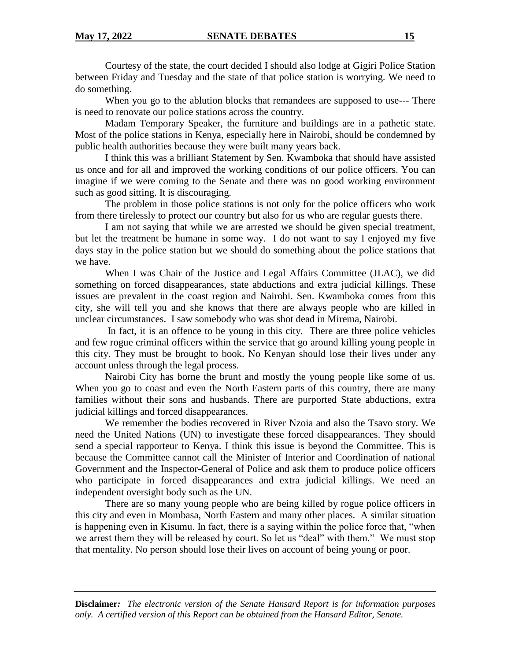Courtesy of the state, the court decided I should also lodge at Gigiri Police Station between Friday and Tuesday and the state of that police station is worrying. We need to do something.

When you go to the ablution blocks that remandees are supposed to use--- There is need to renovate our police stations across the country.

Madam Temporary Speaker, the furniture and buildings are in a pathetic state. Most of the police stations in Kenya, especially here in Nairobi, should be condemned by public health authorities because they were built many years back.

I think this was a brilliant Statement by Sen. Kwamboka that should have assisted us once and for all and improved the working conditions of our police officers. You can imagine if we were coming to the Senate and there was no good working environment such as good sitting. It is discouraging.

The problem in those police stations is not only for the police officers who work from there tirelessly to protect our country but also for us who are regular guests there.

I am not saying that while we are arrested we should be given special treatment, but let the treatment be humane in some way. I do not want to say I enjoyed my five days stay in the police station but we should do something about the police stations that we have.

When I was Chair of the Justice and Legal Affairs Committee (JLAC), we did something on forced disappearances, state abductions and extra judicial killings. These issues are prevalent in the coast region and Nairobi. Sen. Kwamboka comes from this city, she will tell you and she knows that there are always people who are killed in unclear circumstances. I saw somebody who was shot dead in Mirema, Nairobi.

In fact, it is an offence to be young in this city. There are three police vehicles and few rogue criminal officers within the service that go around killing young people in this city. They must be brought to book. No Kenyan should lose their lives under any account unless through the legal process.

Nairobi City has borne the brunt and mostly the young people like some of us. When you go to coast and even the North Eastern parts of this country, there are many families without their sons and husbands. There are purported State abductions, extra judicial killings and forced disappearances.

We remember the bodies recovered in River Nzoia and also the Tsavo story. We need the United Nations (UN) to investigate these forced disappearances. They should send a special rapporteur to Kenya. I think this issue is beyond the Committee. This is because the Committee cannot call the Minister of Interior and Coordination of national Government and the Inspector-General of Police and ask them to produce police officers who participate in forced disappearances and extra judicial killings. We need an independent oversight body such as the UN.

There are so many young people who are being killed by rogue police officers in this city and even in Mombasa, North Eastern and many other places. A similar situation is happening even in Kisumu. In fact, there is a saying within the police force that, "when we arrest them they will be released by court. So let us "deal" with them." We must stop that mentality. No person should lose their lives on account of being young or poor.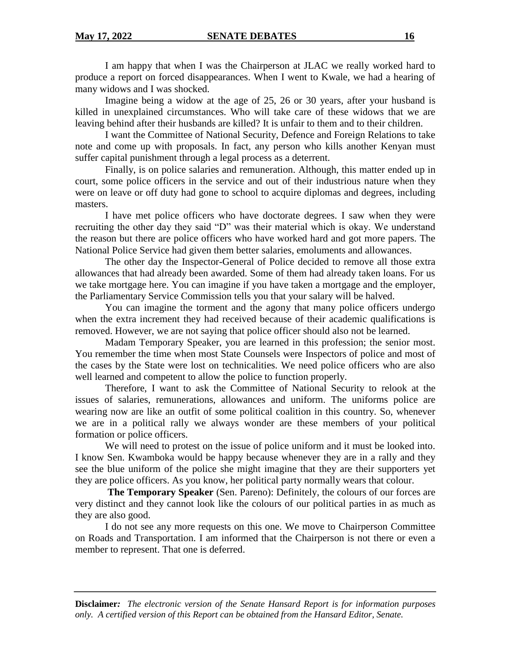I am happy that when I was the Chairperson at JLAC we really worked hard to produce a report on forced disappearances. When I went to Kwale, we had a hearing of many widows and I was shocked.

Imagine being a widow at the age of 25, 26 or 30 years, after your husband is killed in unexplained circumstances. Who will take care of these widows that we are leaving behind after their husbands are killed? It is unfair to them and to their children.

I want the Committee of National Security, Defence and Foreign Relations to take note and come up with proposals. In fact, any person who kills another Kenyan must suffer capital punishment through a legal process as a deterrent.

Finally, is on police salaries and remuneration. Although, this matter ended up in court, some police officers in the service and out of their industrious nature when they were on leave or off duty had gone to school to acquire diplomas and degrees, including masters.

I have met police officers who have doctorate degrees. I saw when they were recruiting the other day they said "D" was their material which is okay. We understand the reason but there are police officers who have worked hard and got more papers. The National Police Service had given them better salaries, emoluments and allowances.

The other day the Inspector-General of Police decided to remove all those extra allowances that had already been awarded. Some of them had already taken loans. For us we take mortgage here. You can imagine if you have taken a mortgage and the employer, the Parliamentary Service Commission tells you that your salary will be halved.

You can imagine the torment and the agony that many police officers undergo when the extra increment they had received because of their academic qualifications is removed. However, we are not saying that police officer should also not be learned.

Madam Temporary Speaker, you are learned in this profession; the senior most. You remember the time when most State Counsels were Inspectors of police and most of the cases by the State were lost on technicalities. We need police officers who are also well learned and competent to allow the police to function properly.

Therefore, I want to ask the Committee of National Security to relook at the issues of salaries, remunerations, allowances and uniform. The uniforms police are wearing now are like an outfit of some political coalition in this country. So, whenever we are in a political rally we always wonder are these members of your political formation or police officers.

We will need to protest on the issue of police uniform and it must be looked into. I know Sen. Kwamboka would be happy because whenever they are in a rally and they see the blue uniform of the police she might imagine that they are their supporters yet they are police officers. As you know, her political party normally wears that colour.

**The Temporary Speaker** (Sen. Pareno): Definitely, the colours of our forces are very distinct and they cannot look like the colours of our political parties in as much as they are also good.

I do not see any more requests on this one. We move to Chairperson Committee on Roads and Transportation. I am informed that the Chairperson is not there or even a member to represent. That one is deferred.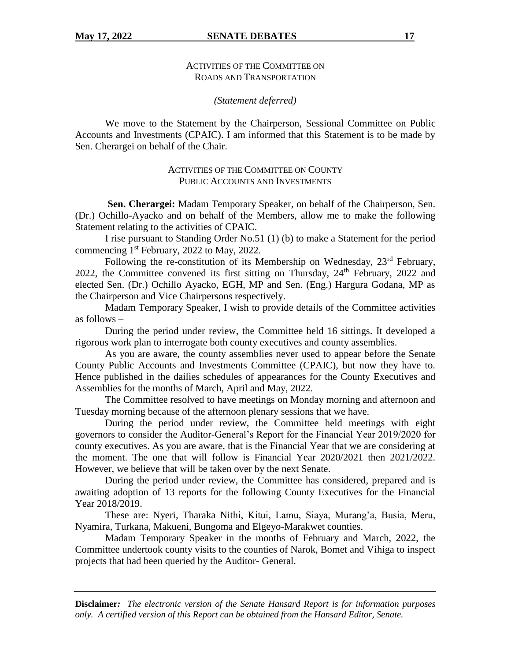## *(Statement deferred)*

We move to the Statement by the Chairperson, Sessional Committee on Public Accounts and Investments (CPAIC). I am informed that this Statement is to be made by Sen. Cherargei on behalf of the Chair.

# ACTIVITIES OF THE COMMITTEE ON COUNTY PUBLIC ACCOUNTS AND INVESTMENTS

**Sen. Cherargei:** Madam Temporary Speaker, on behalf of the Chairperson, Sen. (Dr.) Ochillo-Ayacko and on behalf of the Members, allow me to make the following Statement relating to the activities of CPAIC.

I rise pursuant to Standing Order No.51 (1) (b) to make a Statement for the period commencing 1st February, 2022 to May, 2022.

Following the re-constitution of its Membership on Wednesday,  $23<sup>rd</sup>$  February, 2022, the Committee convened its first sitting on Thursday, 24<sup>th</sup> February, 2022 and elected Sen. (Dr.) Ochillo Ayacko, EGH, MP and Sen. (Eng.) Hargura Godana, MP as the Chairperson and Vice Chairpersons respectively.

Madam Temporary Speaker, I wish to provide details of the Committee activities as follows –

During the period under review, the Committee held 16 sittings. It developed a rigorous work plan to interrogate both county executives and county assemblies.

As you are aware, the county assemblies never used to appear before the Senate County Public Accounts and Investments Committee (CPAIC), but now they have to. Hence published in the dailies schedules of appearances for the County Executives and Assemblies for the months of March, April and May, 2022.

The Committee resolved to have meetings on Monday morning and afternoon and Tuesday morning because of the afternoon plenary sessions that we have.

During the period under review, the Committee held meetings with eight governors to consider the Auditor-General's Report for the Financial Year 2019/2020 for county executives. As you are aware, that is the Financial Year that we are considering at the moment. The one that will follow is Financial Year 2020/2021 then 2021/2022. However, we believe that will be taken over by the next Senate.

During the period under review, the Committee has considered, prepared and is awaiting adoption of 13 reports for the following County Executives for the Financial Year 2018/2019.

These are: Nyeri, Tharaka Nithi, Kitui, Lamu, Siaya, Murang'a, Busia, Meru, Nyamira, Turkana, Makueni, Bungoma and Elgeyo-Marakwet counties.

Madam Temporary Speaker in the months of February and March, 2022, the Committee undertook county visits to the counties of Narok, Bomet and Vihiga to inspect projects that had been queried by the Auditor- General.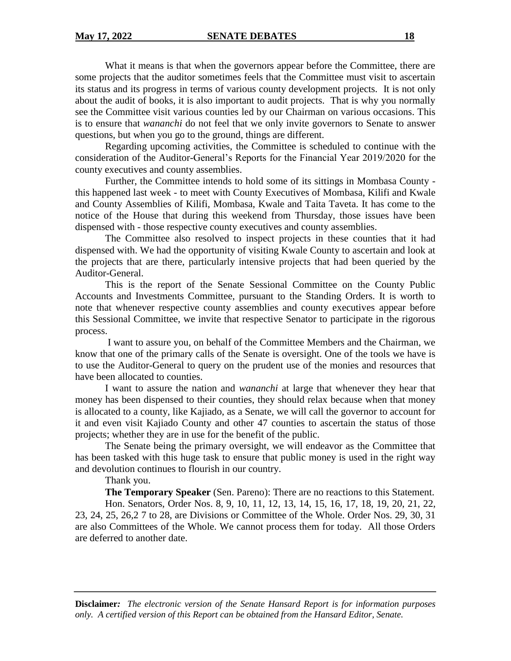What it means is that when the governors appear before the Committee, there are some projects that the auditor sometimes feels that the Committee must visit to ascertain its status and its progress in terms of various county development projects. It is not only about the audit of books, it is also important to audit projects. That is why you normally see the Committee visit various counties led by our Chairman on various occasions. This is to ensure that *wananchi* do not feel that we only invite governors to Senate to answer questions, but when you go to the ground, things are different.

Regarding upcoming activities, the Committee is scheduled to continue with the consideration of the Auditor-General's Reports for the Financial Year 2019/2020 for the county executives and county assemblies.

Further, the Committee intends to hold some of its sittings in Mombasa County this happened last week - to meet with County Executives of Mombasa, Kilifi and Kwale and County Assemblies of Kilifi, Mombasa, Kwale and Taita Taveta. It has come to the notice of the House that during this weekend from Thursday, those issues have been dispensed with - those respective county executives and county assemblies.

The Committee also resolved to inspect projects in these counties that it had dispensed with. We had the opportunity of visiting Kwale County to ascertain and look at the projects that are there, particularly intensive projects that had been queried by the Auditor-General.

This is the report of the Senate Sessional Committee on the County Public Accounts and Investments Committee, pursuant to the Standing Orders. It is worth to note that whenever respective county assemblies and county executives appear before this Sessional Committee, we invite that respective Senator to participate in the rigorous process.

I want to assure you, on behalf of the Committee Members and the Chairman, we know that one of the primary calls of the Senate is oversight. One of the tools we have is to use the Auditor-General to query on the prudent use of the monies and resources that have been allocated to counties.

I want to assure the nation and *wananchi* at large that whenever they hear that money has been dispensed to their counties, they should relax because when that money is allocated to a county, like Kajiado, as a Senate, we will call the governor to account for it and even visit Kajiado County and other 47 counties to ascertain the status of those projects; whether they are in use for the benefit of the public.

The Senate being the primary oversight, we will endeavor as the Committee that has been tasked with this huge task to ensure that public money is used in the right way and devolution continues to flourish in our country.

Thank you.

**The Temporary Speaker** (Sen. Pareno): There are no reactions to this Statement.

Hon. Senators, Order Nos. 8, 9, 10, 11, 12, 13, 14, 15, 16, 17, 18, 19, 20, 21, 22, 23, 24, 25, 26,2 7 to 28, are Divisions or Committee of the Whole. Order Nos. 29, 30, 31 are also Committees of the Whole. We cannot process them for today. All those Orders are deferred to another date.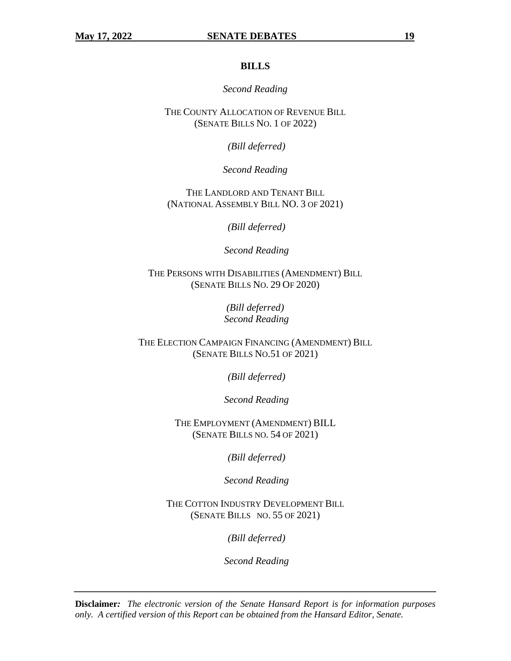## **BILLS**

#### *Second Reading*

THE COUNTY ALLOCATION OF REVENUE BILL (SENATE BILLS NO. 1 OF 2022)

*(Bill deferred)*

*Second Reading*

THE LANDLORD AND TENANT BILL (NATIONAL ASSEMBLY BILL NO. 3 OF 2021)

*(Bill deferred)*

*Second Reading*

THE PERSONS WITH DISABILITIES (AMENDMENT) BILL (SENATE BILLS NO. 29 OF 2020)

> *(Bill deferred) Second Reading*

THE ELECTION CAMPAIGN FINANCING (AMENDMENT) BILL (SENATE BILLS NO.51 OF 2021)

*(Bill deferred)*

*Second Reading*

THE EMPLOYMENT (AMENDMENT) BILL (SENATE BILLS NO. 54 OF 2021)

*(Bill deferred)*

*Second Reading*

THE COTTON INDUSTRY DEVELOPMENT BILL (SENATE BILLS NO. 55 OF 2021)

*(Bill deferred)*

*Second Reading*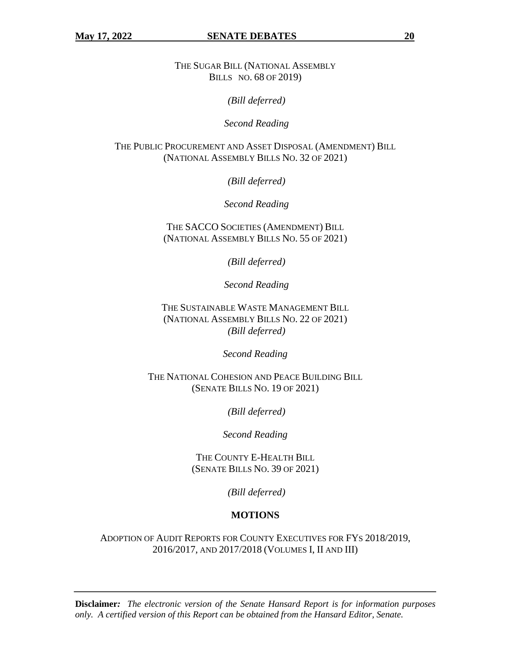THE SUGAR BILL (NATIONAL ASSEMBLY BILLS NO. 68 OF 2019)

*(Bill deferred)*

*Second Reading*

THE PUBLIC PROCUREMENT AND ASSET DISPOSAL (AMENDMENT) BILL (NATIONAL ASSEMBLY BILLS NO. 32 OF 2021)

*(Bill deferred)*

*Second Reading*

THE SACCO SOCIETIES (AMENDMENT) BILL (NATIONAL ASSEMBLY BILLS NO. 55 OF 2021)

*(Bill deferred)*

*Second Reading*

THE SUSTAINABLE WASTE MANAGEMENT BILL (NATIONAL ASSEMBLY BILLS NO. 22 OF 2021) *(Bill deferred)*

*Second Reading*

THE NATIONAL COHESION AND PEACE BUILDING BILL (SENATE BILLS NO. 19 OF 2021)

*(Bill deferred)*

*Second Reading*

THE COUNTY E-HEALTH BILL (SENATE BILLS NO. 39 OF 2021)

*(Bill deferred)*

# **MOTIONS**

ADOPTION OF AUDIT REPORTS FOR COUNTY EXECUTIVES FOR FYS 2018/2019, 2016/2017, AND 2017/2018 (VOLUMES I, II AND III)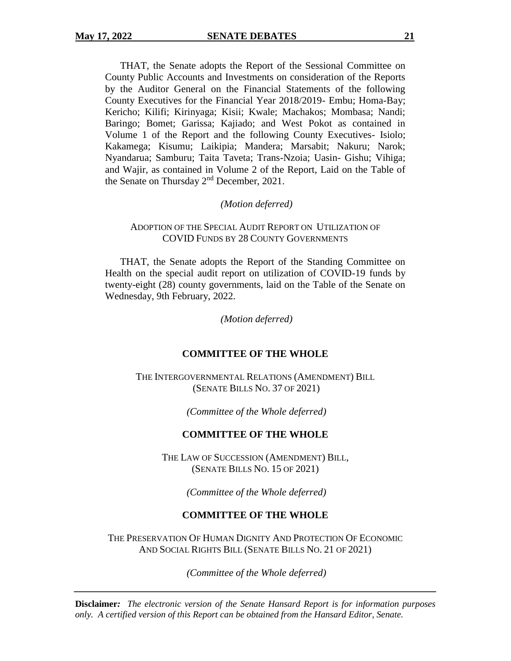THAT, the Senate adopts the Report of the Sessional Committee on County Public Accounts and Investments on consideration of the Reports by the Auditor General on the Financial Statements of the following County Executives for the Financial Year 2018/2019- Embu; Homa-Bay; Kericho; Kilifi; Kirinyaga; Kisii; Kwale; Machakos; Mombasa; Nandi; Baringo; Bomet; Garissa; Kajiado; and West Pokot as contained in Volume 1 of the Report and the following County Executives- Isiolo; Kakamega; Kisumu; Laikipia; Mandera; Marsabit; Nakuru; Narok; Nyandarua; Samburu; Taita Taveta; Trans-Nzoia; Uasin- Gishu; Vihiga; and Wajir, as contained in Volume 2 of the Report, Laid on the Table of the Senate on Thursday 2<sup>nd</sup> December, 2021.

# *(Motion deferred)*

# ADOPTION OF THE SPECIAL AUDIT REPORT ON UTILIZATION OF COVID FUNDS BY 28 COUNTY GOVERNMENTS

THAT, the Senate adopts the Report of the Standing Committee on Health on the special audit report on utilization of COVID-19 funds by twenty-eight (28) county governments, laid on the Table of the Senate on Wednesday, 9th February, 2022.

*(Motion deferred)*

# **COMMITTEE OF THE WHOLE**

THE INTERGOVERNMENTAL RELATIONS (AMENDMENT) BILL (SENATE BILLS NO. 37 OF 2021)

*(Committee of the Whole deferred)*

# **COMMITTEE OF THE WHOLE**

THE LAW OF SUCCESSION (AMENDMENT) BILL, (SENATE BILLS NO. 15 OF 2021)

*(Committee of the Whole deferred)*

# **COMMITTEE OF THE WHOLE**

THE PRESERVATION OF HUMAN DIGNITY AND PROTECTION OF ECONOMIC AND SOCIAL RIGHTS BILL (SENATE BILLS NO. 21 OF 2021)

*(Committee of the Whole deferred)*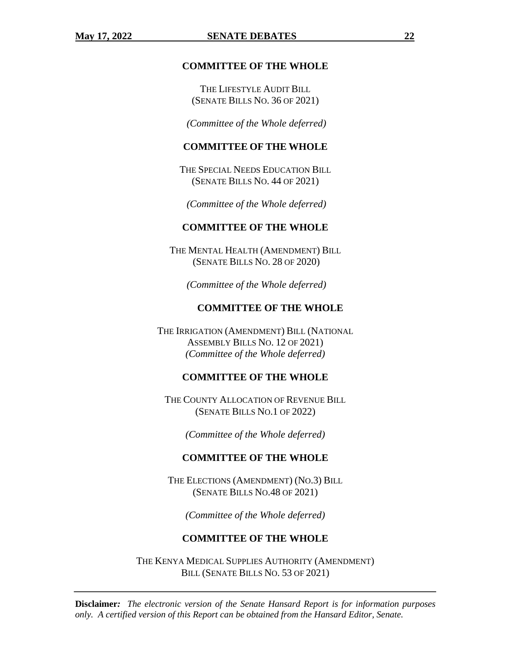#### **COMMITTEE OF THE WHOLE**

THE LIFESTYLE AUDIT BILL (SENATE BILLS NO. 36 OF 2021)

*(Committee of the Whole deferred)*

# **COMMITTEE OF THE WHOLE**

THE SPECIAL NEEDS EDUCATION BILL (SENATE BILLS NO. 44 OF 2021)

*(Committee of the Whole deferred)*

#### **COMMITTEE OF THE WHOLE**

THE MENTAL HEALTH (AMENDMENT) BILL (SENATE BILLS NO. 28 OF 2020)

*(Committee of the Whole deferred)*

# **COMMITTEE OF THE WHOLE**

THE IRRIGATION (AMENDMENT) BILL (NATIONAL ASSEMBLY BILLS NO. 12 OF 2021) *(Committee of the Whole deferred)*

#### **COMMITTEE OF THE WHOLE**

THE COUNTY ALLOCATION OF REVENUE BILL (SENATE BILLS NO.1 OF 2022)

*(Committee of the Whole deferred)*

#### **COMMITTEE OF THE WHOLE**

THE ELECTIONS (AMENDMENT) (NO.3) BILL (SENATE BILLS NO.48 OF 2021)

*(Committee of the Whole deferred)*

# **COMMITTEE OF THE WHOLE**

THE KENYA MEDICAL SUPPLIES AUTHORITY (AMENDMENT) BILL (SENATE BILLS NO. 53 OF 2021)